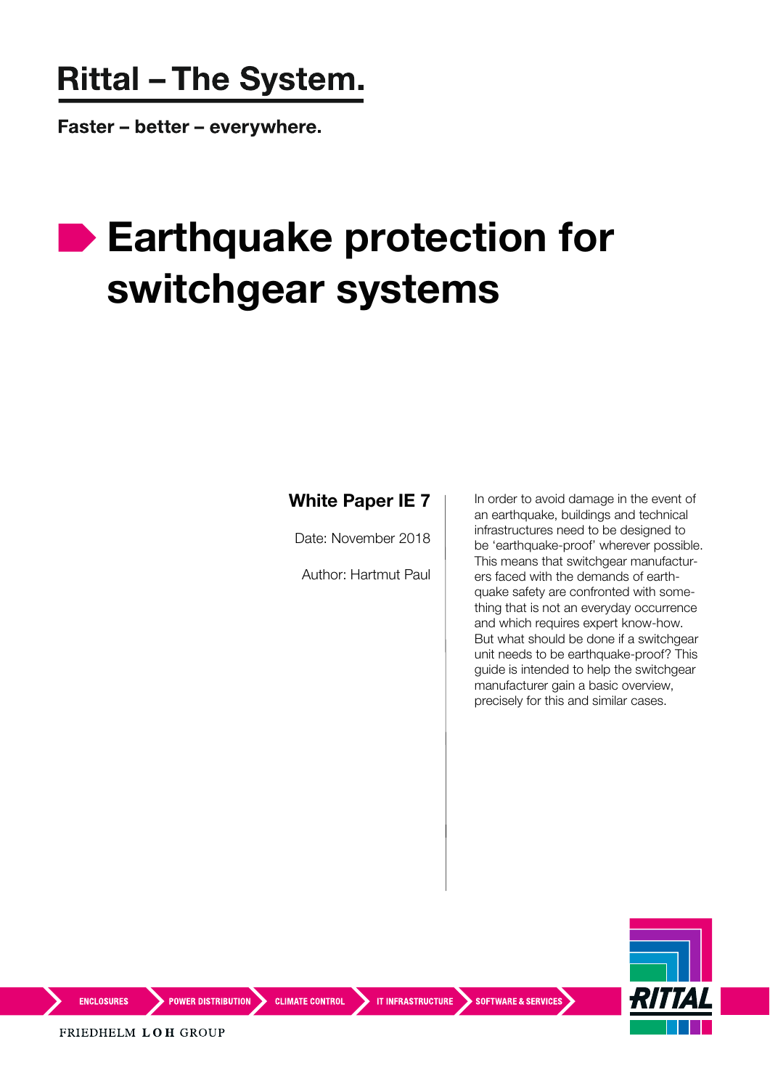## **Rittal - The System.**

Faster – better – everywhere.

## **Earthquake protection for switchgear systems**

## **White Paper IE 7**

Date: November 2018

Author: Hartmut Paul

In order to avoid damage in the event of an earthquake, buildings and technical infrastructures need to be designed to be 'earthquake-proof' wherever possible. This means that switchgear manufacturers faced with the demands of earthquake safety are confronted with something that is not an everyday occurrence and which requires expert know-how. But what should be done if a switchgear unit needs to be earthquake-proof? This guide is intended to help the switchgear manufacturer gain a basic overview, precisely for this and similar cases.



**ENCLOSURES** 

**POWER DISTRIBUTION** CLIMATE CONTROL **TIMERASTRUCTURE** SOFTWARE & SERVICES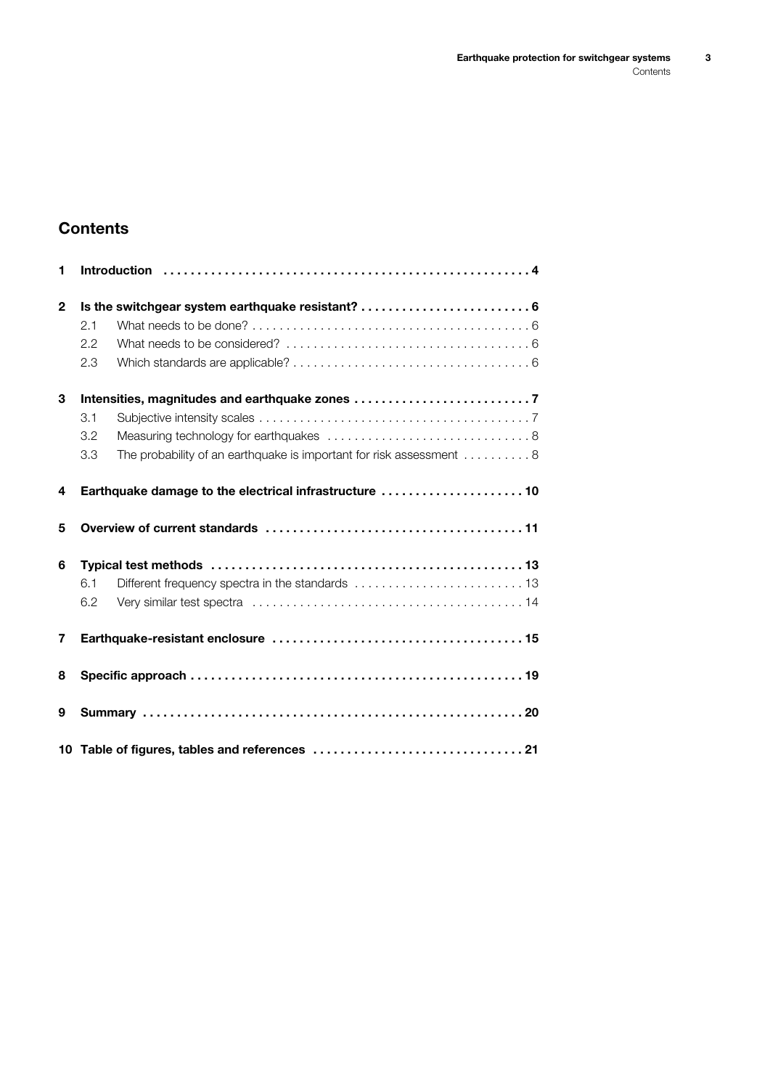## **Contents**

| 1            |     |                                                                                       |
|--------------|-----|---------------------------------------------------------------------------------------|
| $\mathbf{2}$ |     | Is the switchgear system earthquake resistant?  6                                     |
|              | 2.1 |                                                                                       |
|              | 2.2 |                                                                                       |
|              | 2.3 |                                                                                       |
| 3            |     |                                                                                       |
|              | 3.1 |                                                                                       |
|              | 3.2 |                                                                                       |
|              | 3.3 | The probability of an earthquake is important for risk assessment $\dots\dots\dots 8$ |
| 4            |     | Earthquake damage to the electrical infrastructure  10                                |
| 5            |     |                                                                                       |
| 6            |     |                                                                                       |
|              | 6.1 |                                                                                       |
|              | 6.2 |                                                                                       |
| 7            |     |                                                                                       |
| 8            |     |                                                                                       |
| 9            |     |                                                                                       |
|              |     |                                                                                       |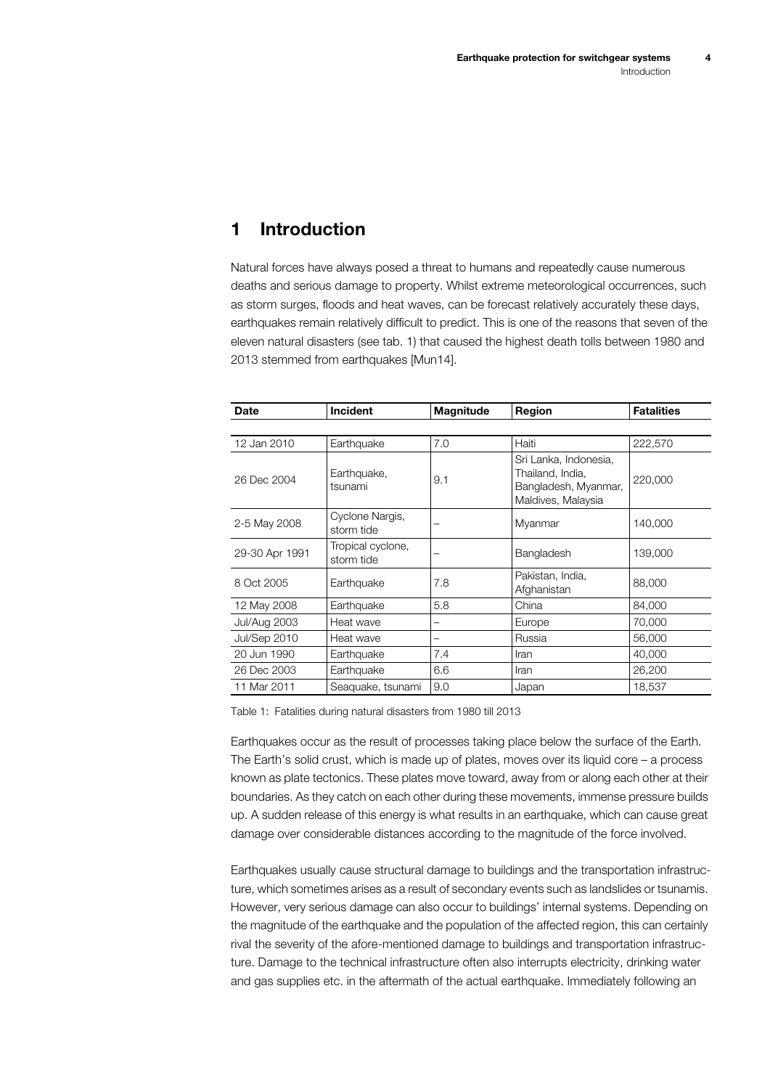## <span id="page-3-0"></span>**1 Introduction**

<span id="page-3-2"></span>Natural forces have always posed a threat to humans and repeatedly cause numerous deaths and serious damage to property. Whilst extreme meteorological occurrences, such as storm surges, floods and heat waves, can be forecast relatively accurately these days, earthquakes remain relatively difficult to predict. This is one of the reasons that seven of the eleven natural disasters ([see tab.](#page-3-1) 1) that caused the highest death tolls between 1980 and 2013 stemmed from earthquakes [Mun14].

| Date                | <b>Incident</b>                 | <b>Magnitude</b> | Region                                                                                  | <b>Fatalities</b> |
|---------------------|---------------------------------|------------------|-----------------------------------------------------------------------------------------|-------------------|
|                     |                                 |                  |                                                                                         |                   |
| 12 Jan 2010         | Earthquake                      | 7.0              | Haiti                                                                                   | 222,570           |
| 26 Dec 2004         | Earthquake,<br>tsunami          | 9.1              | Sri Lanka, Indonesia,<br>Thailand, India,<br>Bangladesh, Myanmar,<br>Maldives, Malaysia | 220,000           |
| 2-5 May 2008        | Cyclone Nargis,<br>storm tide   |                  | Myanmar                                                                                 | 140,000           |
| 29-30 Apr 1991      | Tropical cyclone,<br>storm tide |                  | Bangladesh                                                                              | 139,000           |
| 8 Oct 2005          | Earthquake                      | 7.8              | Pakistan, India,<br>Afghanistan                                                         | 88,000            |
| 12 May 2008         | Earthquake                      | 5.8              | China                                                                                   | 84,000            |
| <b>Jul/Aug 2003</b> | Heat wave                       | -                | Europe                                                                                  | 70,000            |
| Jul/Sep 2010        | Heat wave                       |                  | Russia                                                                                  | 56,000            |
| 20 Jun 1990         | Earthquake                      | 7.4              | Iran                                                                                    | 40,000            |
| 26 Dec 2003         | Earthquake                      | 6.6              | Iran                                                                                    | 26,200            |
| 11 Mar 2011         | Seaguake, tsunami               | 9.0              | Japan                                                                                   | 18,537            |

<span id="page-3-1"></span>Table 1: Fatalities during natural disasters from 1980 till 2013

Earthquakes occur as the result of processes taking place below the surface of the Earth. The Earth's solid crust, which is made up of plates, moves over its liquid core – a process known as plate tectonics. These plates move toward, away from or along each other at their boundaries. As they catch on each other during these movements, immense pressure builds up. A sudden release of this energy is what results in an earthquake, which can cause great damage over considerable distances according to the magnitude of the force involved.

Earthquakes usually cause structural damage to buildings and the transportation infrastructure, which sometimes arises as a result of secondary events such as landslides or tsunamis. However, very serious damage can also occur to buildings' internal systems. Depending on the magnitude of the earthquake and the population of the affected region, this can certainly rival the severity of the afore-mentioned damage to buildings and transportation infrastructure. Damage to the technical infrastructure often also interrupts electricity, drinking water and gas supplies etc. in the aftermath of the actual earthquake. Immediately following an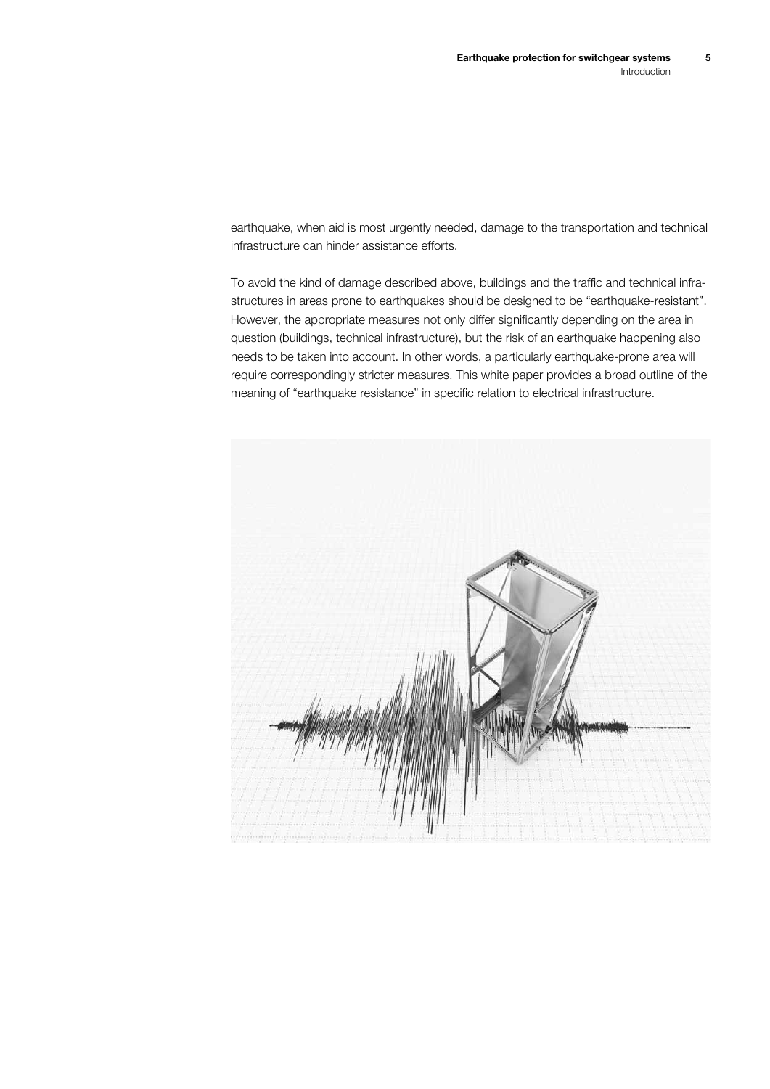earthquake, when aid is most urgently needed, damage to the transportation and technical infrastructure can hinder assistance efforts.

To avoid the kind of damage described above, buildings and the traffic and technical infrastructures in areas prone to earthquakes should be designed to be "earthquake-resistant". However, the appropriate measures not only differ significantly depending on the area in question (buildings, technical infrastructure), but the risk of an earthquake happening also needs to be taken into account. In other words, a particularly earthquake-prone area will require correspondingly stricter measures. This white paper provides a broad outline of the meaning of "earthquake resistance" in specific relation to electrical infrastructure.

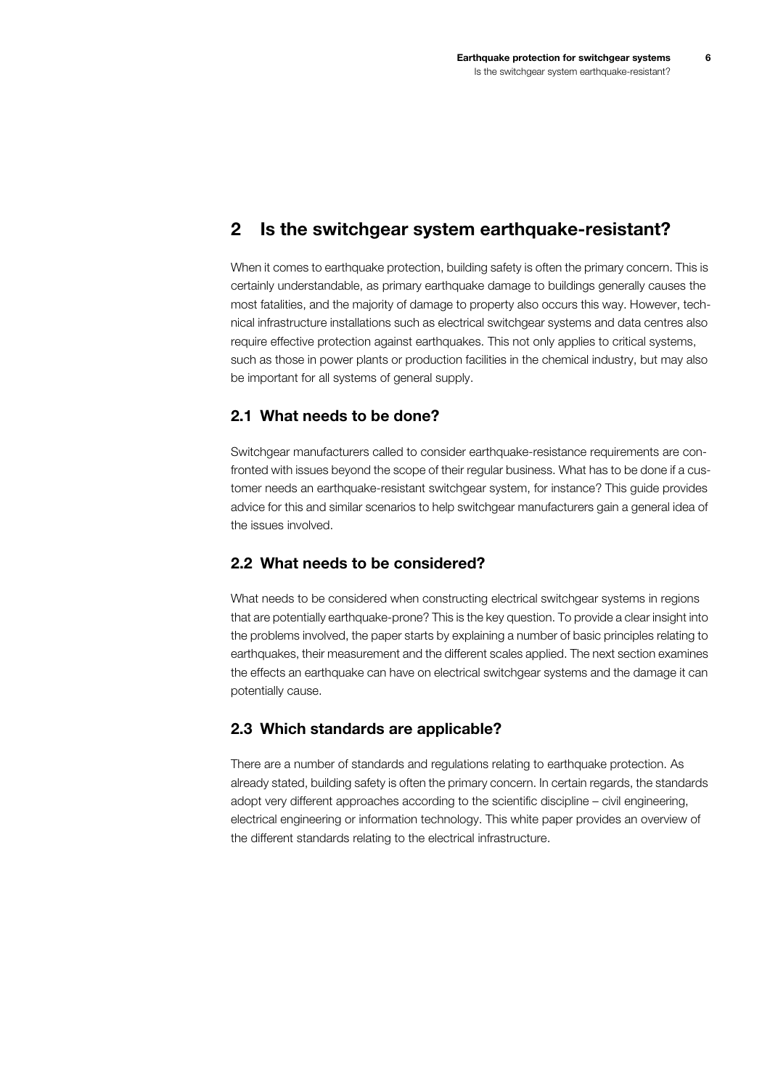## <span id="page-5-1"></span>**2 Is the switchgear system earthquake-resistant?**

When it comes to earthquake protection, building safety is often the primary concern. This is certainly understandable, as primary earthquake damage to buildings generally causes the most fatalities, and the majority of damage to property also occurs this way. However, technical infrastructure installations such as electrical switchgear systems and data centres also require effective protection against earthquakes. This not only applies to critical systems, such as those in power plants or production facilities in the chemical industry, but may also be important for all systems of general supply.

#### <span id="page-5-2"></span>**2.1 What needs to be done?**

Switchgear manufacturers called to consider earthquake-resistance requirements are confronted with issues beyond the scope of their regular business. What has to be done if a customer needs an earthquake-resistant switchgear system, for instance? This guide provides advice for this and similar scenarios to help switchgear manufacturers gain a general idea of the issues involved.

#### <span id="page-5-0"></span>**2.2 What needs to be considered?**

What needs to be considered when constructing electrical switchgear systems in regions that are potentially earthquake-prone? This is the key question. To provide a clear insight into the problems involved, the paper starts by explaining a number of basic principles relating to earthquakes, their measurement and the different scales applied. The next section examines the effects an earthquake can have on electrical switchgear systems and the damage it can potentially cause.

#### <span id="page-5-3"></span>**2.3 Which standards are applicable?**

There are a number of standards and regulations relating to earthquake protection. As already stated, building safety is often the primary concern. In certain regards, the standards adopt very different approaches according to the scientific discipline – civil engineering, electrical engineering or information technology. This white paper provides an overview of the different standards relating to the electrical infrastructure.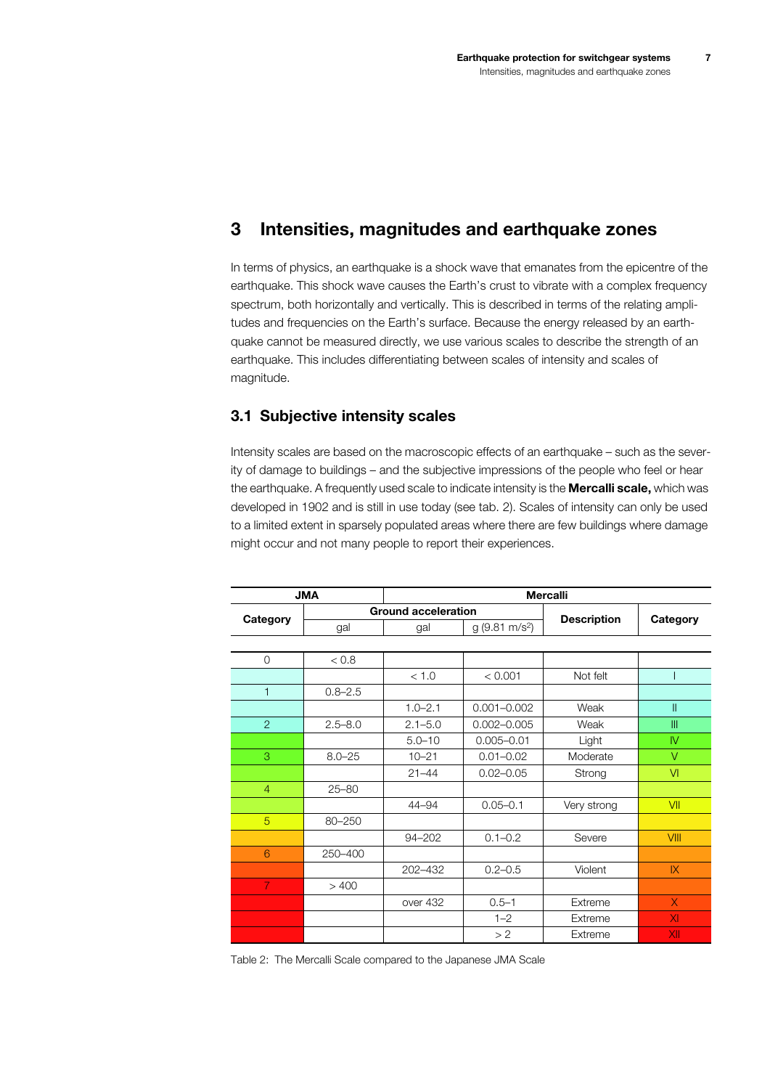## <span id="page-6-0"></span>**3 Intensities, magnitudes and earthquake zones**

In terms of physics, an earthquake is a shock wave that emanates from the epicentre of the earthquake. This shock wave causes the Earth's crust to vibrate with a complex frequency spectrum, both horizontally and vertically. This is described in terms of the relating amplitudes and frequencies on the Earth's surface. Because the energy released by an earthquake cannot be measured directly, we use various scales to describe the strength of an earthquake. This includes differentiating between scales of intensity and scales of magnitude.

#### <span id="page-6-1"></span>**3.1 Subjective intensity scales**

Intensity scales are based on the macroscopic effects of an earthquake – such as the severity of damage to buildings – and the subjective impressions of the people who feel or hear the earthquake. A frequently used scale to indicate intensity is the **Mercalli scale,** which was developed in 1902 and is still in use today [\(see tab.](#page-6-2) 2). Scales of intensity can only be used to a limited extent in sparsely populated areas where there are few buildings where damage might occur and not many people to report their experiences.

|                | <b>JMA</b>  | <b>Mercalli</b>            |                         |                    |              |  |  |  |  |
|----------------|-------------|----------------------------|-------------------------|--------------------|--------------|--|--|--|--|
|                |             | <b>Ground acceleration</b> |                         |                    |              |  |  |  |  |
| Category       | gal         | gal                        | $g(9.81 \text{ m/s}^2)$ | <b>Description</b> | Category     |  |  |  |  |
|                |             |                            |                         |                    |              |  |  |  |  |
| $\circ$        | 0.8 <       |                            |                         |                    |              |  |  |  |  |
|                |             | < 1.0                      | < 0.001                 | Not felt           |              |  |  |  |  |
| $\mathbf{1}$   | $0.8 - 2.5$ |                            |                         |                    |              |  |  |  |  |
|                |             | $1.0 - 2.1$                | $0.001 - 0.002$         | Weak               | Ш            |  |  |  |  |
| $\overline{2}$ | $2.5 - 8.0$ | $2.1 - 5.0$                | $0.002 - 0.005$         | Weak               | III          |  |  |  |  |
|                |             | $5.0 - 10$                 | $0.005 - 0.01$          | Light              | $\mathsf{N}$ |  |  |  |  |
| 3              | $8.0 - 25$  | $10 - 21$                  | $0.01 - 0.02$           | Moderate           | $\vee$       |  |  |  |  |
|                |             | $21 - 44$                  | $0.02 - 0.05$           | Strong             | VI           |  |  |  |  |
| $\overline{4}$ | $25 - 80$   |                            |                         |                    |              |  |  |  |  |
|                |             | 44-94                      | $0.05 - 0.1$            | Very strong        | VII          |  |  |  |  |
| 5              | 80-250      |                            |                         |                    |              |  |  |  |  |
|                |             | 94-202                     | $0.1 - 0.2$             | Severe             | VIII         |  |  |  |  |
| 6              | 250-400     |                            |                         |                    |              |  |  |  |  |
|                |             | 202-432                    | $0.2 - 0.5$             | Violent            | X            |  |  |  |  |
| $\overline{7}$ | >400        |                            |                         |                    |              |  |  |  |  |
|                |             | over 432                   | $0.5 - 1$               | Extreme            | $\sf X$      |  |  |  |  |
|                |             |                            | $1 - 2$                 | Extreme            | XI           |  |  |  |  |
|                |             |                            | >2                      | Extreme            | XII          |  |  |  |  |

<span id="page-6-2"></span>Table 2: The Mercalli Scale compared to the Japanese JMA Scale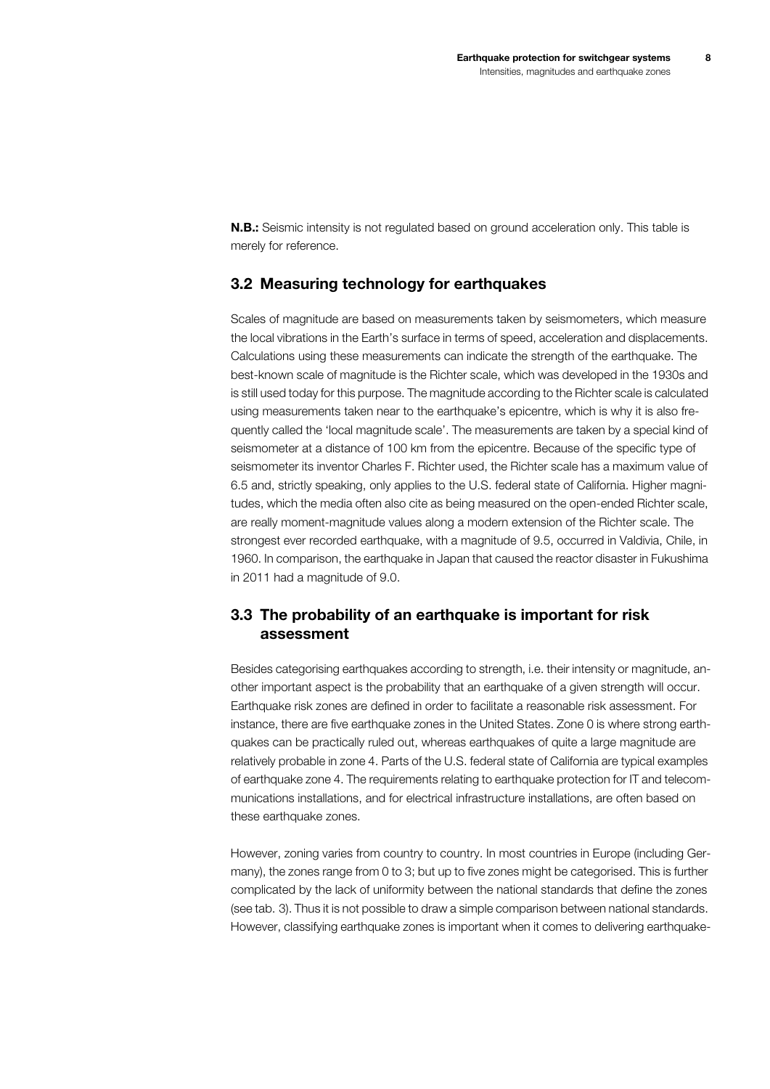**N.B.:** Seismic intensity is not regulated based on ground acceleration only. This table is merely for reference.

#### <span id="page-7-0"></span>**3.2 Measuring technology for earthquakes**

Scales of magnitude are based on measurements taken by seismometers, which measure the local vibrations in the Earth's surface in terms of speed, acceleration and displacements. Calculations using these measurements can indicate the strength of the earthquake. The best-known scale of magnitude is the Richter scale, which was developed in the 1930s and is still used today for this purpose. The magnitude according to the Richter scale is calculated using measurements taken near to the earthquake's epicentre, which is why it is also frequently called the 'local magnitude scale'. The measurements are taken by a special kind of seismometer at a distance of 100 km from the epicentre. Because of the specific type of seismometer its inventor Charles F. Richter used, the Richter scale has a maximum value of 6.5 and, strictly speaking, only applies to the U.S. federal state of California. Higher magnitudes, which the media often also cite as being measured on the open-ended Richter scale, are really moment-magnitude values along a modern extension of the Richter scale. The strongest ever recorded earthquake, with a magnitude of 9.5, occurred in Valdivia, Chile, in 1960. In comparison, the earthquake in Japan that caused the reactor disaster in Fukushima in 2011 had a magnitude of 9.0.

#### <span id="page-7-1"></span>**3.3 The probability of an earthquake is important for risk assessment**

Besides categorising earthquakes according to strength, i.e. their intensity or magnitude, another important aspect is the probability that an earthquake of a given strength will occur. Earthquake risk zones are defined in order to facilitate a reasonable risk assessment. For instance, there are five earthquake zones in the United States. Zone 0 is where strong earthquakes can be practically ruled out, whereas earthquakes of quite a large magnitude are relatively probable in zone 4. Parts of the U.S. federal state of California are typical examples of earthquake zone 4. The requirements relating to earthquake protection for IT and telecommunications installations, and for electrical infrastructure installations, are often based on these earthquake zones.

However, zoning varies from country to country. In most countries in Europe (including Germany), the zones range from 0 to 3; but up to five zones might be categorised. This is further complicated by the lack of uniformity between the national standards that define the zones ([see tab.](#page-8-0) 3). Thus it is not possible to draw a simple comparison between national standards. However, classifying earthquake zones is important when it comes to delivering earthquake-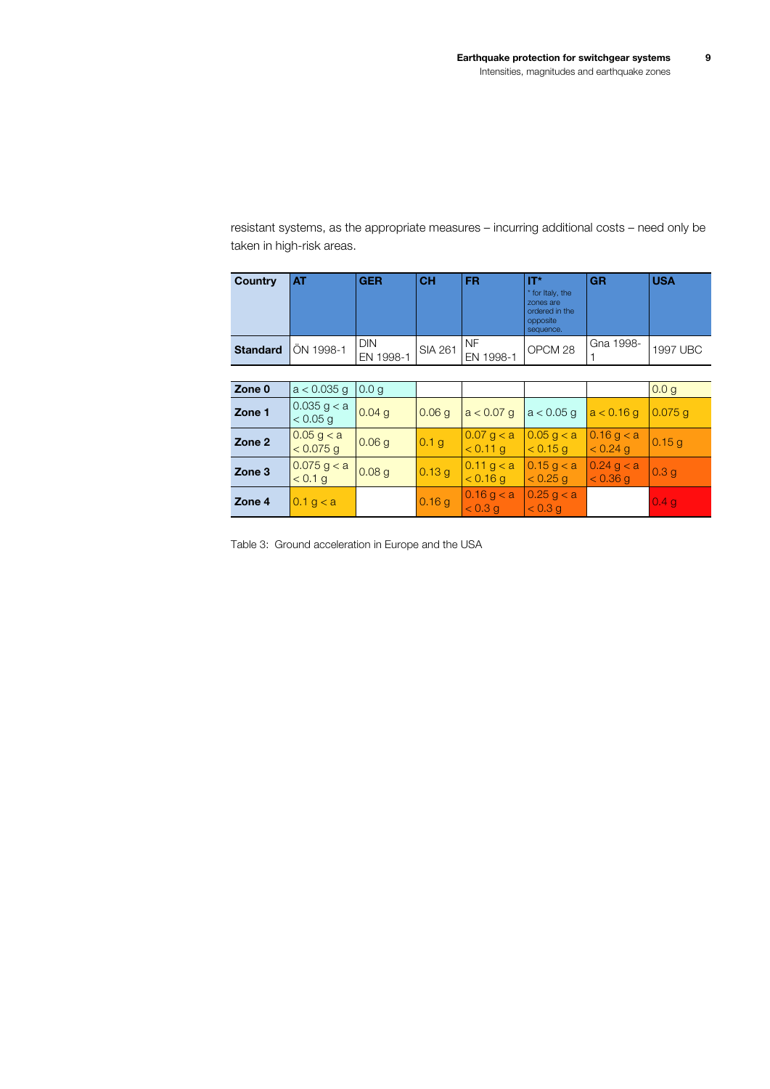resistant systems, as the appropriate measures – incurring additional costs – need only be taken in high-risk areas.

| Country         | AT                          | <b>GER</b>              | <b>CH</b>         | FR.                          | IT*<br>* for Italy, the<br>zones are<br>ordered in the<br>opposite<br>sequence. | <b>GR</b>                    | <b>USA</b>       |
|-----------------|-----------------------------|-------------------------|-------------------|------------------------------|---------------------------------------------------------------------------------|------------------------------|------------------|
| <b>Standard</b> | ÖN 1998-1                   | <b>DIN</b><br>EN 1998-1 | <b>SIA 261</b>    | NF.<br>EN 1998-1             | OPCM <sub>28</sub>                                                              | Gna 1998-                    | 1997 UBC         |
|                 |                             |                         |                   |                              |                                                                                 |                              |                  |
| Zone 0          | $a < 0.035$ g               | 0.0 <sub>q</sub>        |                   |                              |                                                                                 |                              | 0.0 <sub>g</sub> |
| Zone 1          | $0.035$ g < a<br>$< 0.05$ g | 0.04 <sub>q</sub>       | 0.06 g            | $a < 0.07$ q                 | $a < 0.05$ q                                                                    | a < 0.16 g                   | $0.075$ g        |
| Zone 2          | 0.05 g < a<br>$< 0.075$ g   | 0.06q                   | 0.1 <sub>g</sub>  | $0.07$ g $<$ a<br>$< 0.11$ g | $0.05$ g $<$ a<br>< 0.15 g                                                      | 0.16 g < a<br>$< 0.24$ g     | 0.15 g           |
| Zone 3          | 0.075 g < a<br>< 0.1 g      | 0.08 <sub>g</sub>       | 0.13 g            | 0.11 g < a<br>$< 0.16$ q     | 0.15 g < a<br>$< 0.25$ q                                                        | $0.24$ g $<$ a<br>$< 0.36$ q | 0.3 <sub>g</sub> |
| Zone 4          | 0.1 g < a                   |                         | 0.16 <sub>g</sub> | 0.16 g < a<br>< 0.3 q        | 0.25 g < a<br>< 0.3 q                                                           |                              | 0.4 <sub>g</sub> |

<span id="page-8-0"></span>Table 3: Ground acceleration in Europe and the USA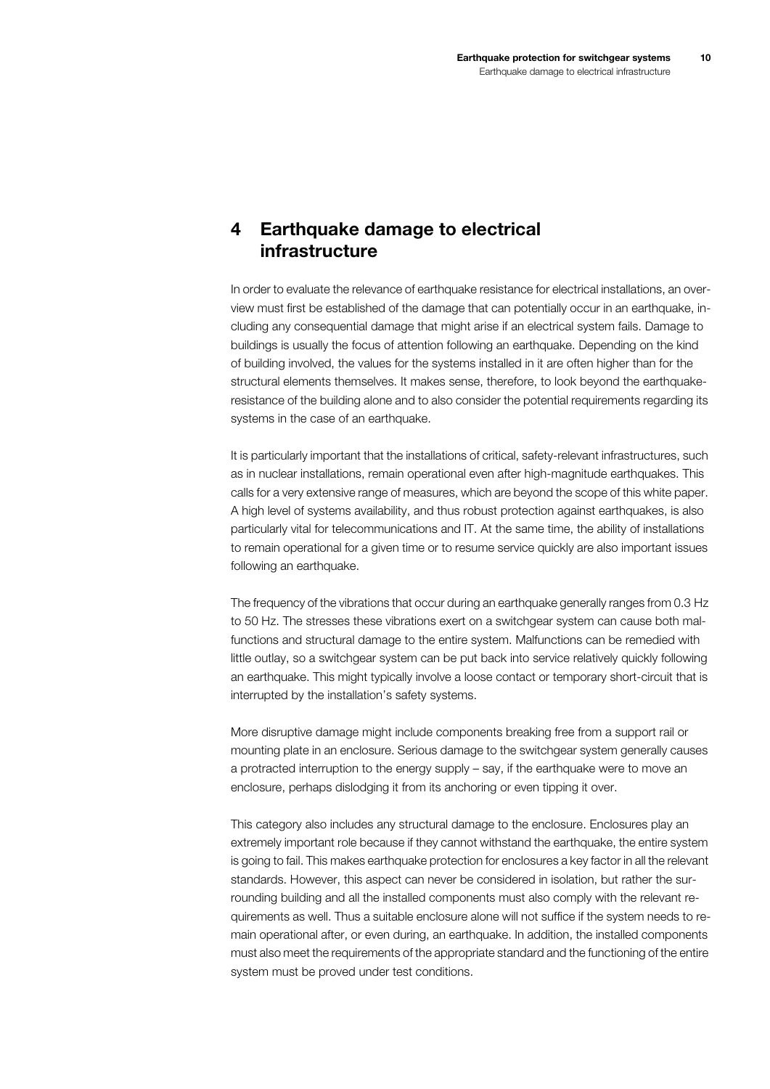## <span id="page-9-0"></span>**4 Earthquake damage to electrical infrastructure**

In order to evaluate the relevance of earthquake resistance for electrical installations, an overview must first be established of the damage that can potentially occur in an earthquake, including any consequential damage that might arise if an electrical system fails. Damage to buildings is usually the focus of attention following an earthquake. Depending on the kind of building involved, the values for the systems installed in it are often higher than for the structural elements themselves. It makes sense, therefore, to look beyond the earthquakeresistance of the building alone and to also consider the potential requirements regarding its systems in the case of an earthquake.

It is particularly important that the installations of critical, safety-relevant infrastructures, such as in nuclear installations, remain operational even after high-magnitude earthquakes. This calls for a very extensive range of measures, which are beyond the scope of this white paper. A high level of systems availability, and thus robust protection against earthquakes, is also particularly vital for telecommunications and IT. At the same time, the ability of installations to remain operational for a given time or to resume service quickly are also important issues following an earthquake.

The frequency of the vibrations that occur during an earthquake generally ranges from 0.3 Hz to 50 Hz. The stresses these vibrations exert on a switchgear system can cause both malfunctions and structural damage to the entire system. Malfunctions can be remedied with little outlay, so a switchgear system can be put back into service relatively quickly following an earthquake. This might typically involve a loose contact or temporary short-circuit that is interrupted by the installation's safety systems.

More disruptive damage might include components breaking free from a support rail or mounting plate in an enclosure. Serious damage to the switchgear system generally causes a protracted interruption to the energy supply – say, if the earthquake were to move an enclosure, perhaps dislodging it from its anchoring or even tipping it over.

This category also includes any structural damage to the enclosure. Enclosures play an extremely important role because if they cannot withstand the earthquake, the entire system is going to fail. This makes earthquake protection for enclosures a key factor in all the relevant standards. However, this aspect can never be considered in isolation, but rather the surrounding building and all the installed components must also comply with the relevant requirements as well. Thus a suitable enclosure alone will not suffice if the system needs to remain operational after, or even during, an earthquake. In addition, the installed components must also meet the requirements of the appropriate standard and the functioning of the entire system must be proved under test conditions.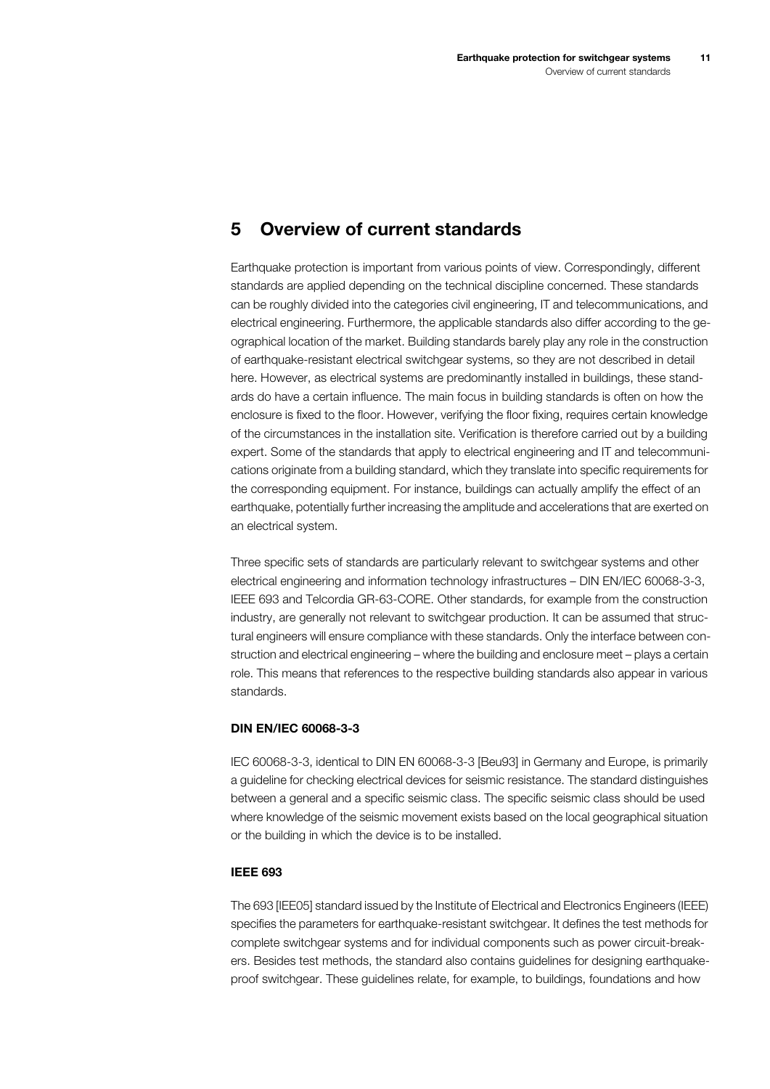### <span id="page-10-0"></span>**5 Overview of current standards**

Earthquake protection is important from various points of view. Correspondingly, different standards are applied depending on the technical discipline concerned. These standards can be roughly divided into the categories civil engineering, IT and telecommunications, and electrical engineering. Furthermore, the applicable standards also differ according to the geographical location of the market. Building standards barely play any role in the construction of earthquake-resistant electrical switchgear systems, so they are not described in detail here. However, as electrical systems are predominantly installed in buildings, these standards do have a certain influence. The main focus in building standards is often on how the enclosure is fixed to the floor. However, verifying the floor fixing, requires certain knowledge of the circumstances in the installation site. Verification is therefore carried out by a building expert. Some of the standards that apply to electrical engineering and IT and telecommunications originate from a building standard, which they translate into specific requirements for the corresponding equipment. For instance, buildings can actually amplify the effect of an earthquake, potentially further increasing the amplitude and accelerations that are exerted on an electrical system.

Three specific sets of standards are particularly relevant to switchgear systems and other electrical engineering and information technology infrastructures – DIN EN/IEC 60068-3-3, IEEE 693 and Telcordia GR-63-CORE. Other standards, for example from the construction industry, are generally not relevant to switchgear production. It can be assumed that structural engineers will ensure compliance with these standards. Only the interface between construction and electrical engineering – where the building and enclosure meet – plays a certain role. This means that references to the respective building standards also appear in various standards.

#### **DIN EN/IEC 60068-3-3**

<span id="page-10-1"></span>IEC 60068-3-3, identical to DIN EN 60068-3-3 [Beu93] in Germany and Europe, is primarily a guideline for checking electrical devices for seismic resistance. The standard distinguishes between a general and a specific seismic class. The specific seismic class should be used where knowledge of the seismic movement exists based on the local geographical situation or the building in which the device is to be installed.

#### **IEEE 693**

<span id="page-10-2"></span>The 693 [IEE05] standard issued by the Institute of Electrical and Electronics Engineers (IEEE) specifies the parameters for earthquake-resistant switchgear. It defines the test methods for complete switchgear systems and for individual components such as power circuit-breakers. Besides test methods, the standard also contains guidelines for designing earthquakeproof switchgear. These guidelines relate, for example, to buildings, foundations and how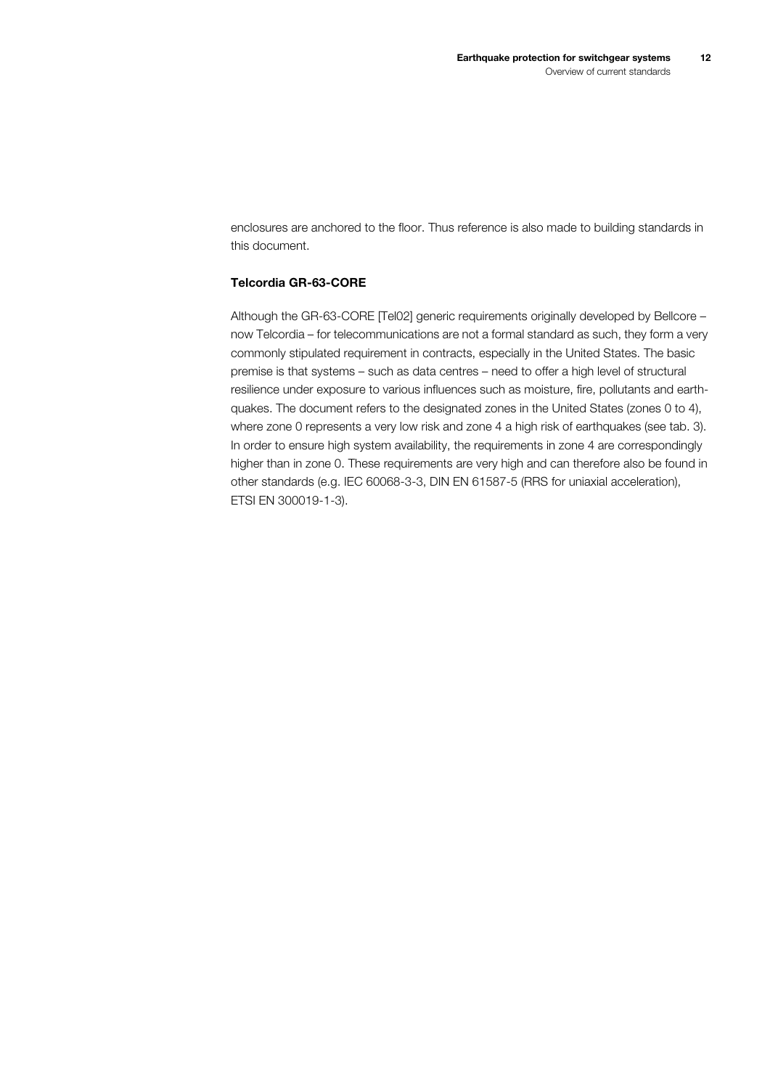enclosures are anchored to the floor. Thus reference is also made to building standards in this document.

#### **Telcordia GR-63-CORE**

<span id="page-11-0"></span>Although the GR-63-CORE [Tel02] generic requirements originally developed by Bellcore – now Telcordia – for telecommunications are not a formal standard as such, they form a very commonly stipulated requirement in contracts, especially in the United States. The basic premise is that systems – such as data centres – need to offer a high level of structural resilience under exposure to various influences such as moisture, fire, pollutants and earthquakes. The document refers to the designated zones in the United States (zones 0 to 4), where zone 0 represents a very low risk and zone 4 a high risk of earthquakes ([see tab.](#page-8-0) 3). In order to ensure high system availability, the requirements in zone 4 are correspondingly higher than in zone 0. These requirements are very high and can therefore also be found in other standards (e.g. IEC 60068-3-3, DIN EN 61587-5 (RRS for uniaxial acceleration), ETSI EN 300019-1-3).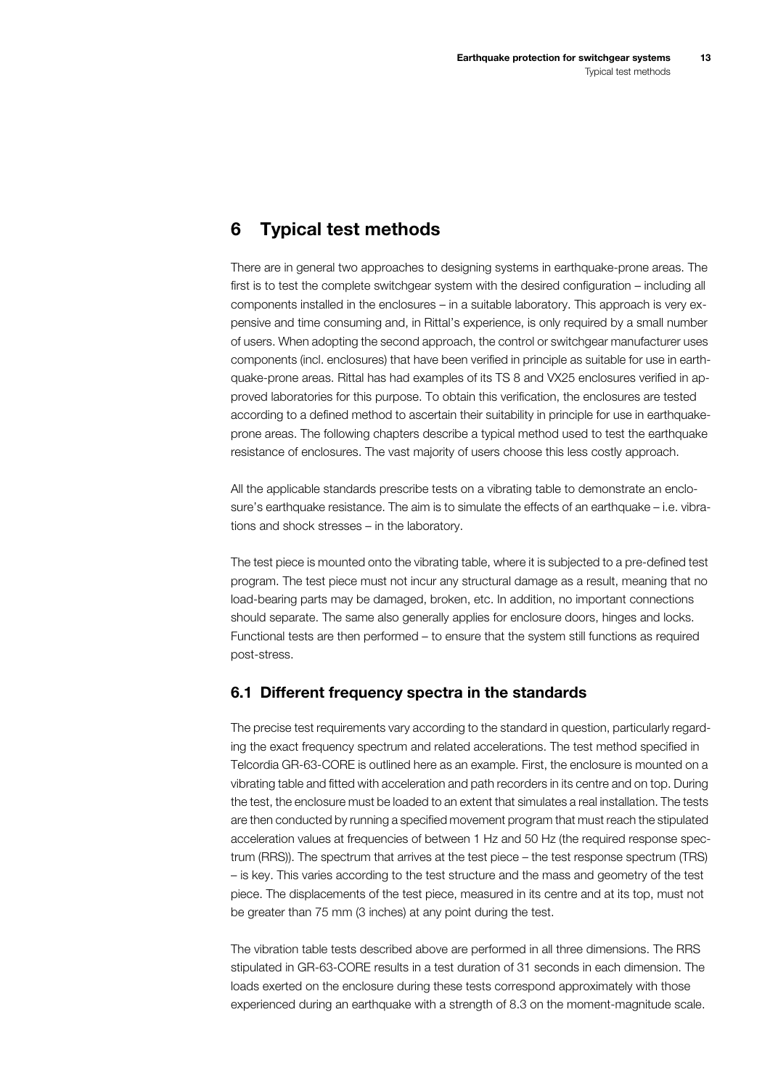## <span id="page-12-0"></span>**6 Typical test methods**

There are in general two approaches to designing systems in earthquake-prone areas. The first is to test the complete switchgear system with the desired configuration – including all components installed in the enclosures – in a suitable laboratory. This approach is very expensive and time consuming and, in Rittal's experience, is only required by a small number of users. When adopting the second approach, the control or switchgear manufacturer uses components (incl. enclosures) that have been verified in principle as suitable for use in earthquake-prone areas. Rittal has had examples of its TS 8 and VX25 enclosures verified in approved laboratories for this purpose. To obtain this verification, the enclosures are tested according to a defined method to ascertain their suitability in principle for use in earthquakeprone areas. The following chapters describe a typical method used to test the earthquake resistance of enclosures. The vast majority of users choose this less costly approach.

All the applicable standards prescribe tests on a vibrating table to demonstrate an enclosure's earthquake resistance. The aim is to simulate the effects of an earthquake – i.e. vibrations and shock stresses – in the laboratory.

The test piece is mounted onto the vibrating table, where it is subjected to a pre-defined test program. The test piece must not incur any structural damage as a result, meaning that no load-bearing parts may be damaged, broken, etc. In addition, no important connections should separate. The same also generally applies for enclosure doors, hinges and locks. Functional tests are then performed – to ensure that the system still functions as required post-stress.

#### <span id="page-12-1"></span>**6.1 Different frequency spectra in the standards**

The precise test requirements vary according to the standard in question, particularly regarding the exact frequency spectrum and related accelerations. The test method specified in Telcordia GR-63-CORE is outlined here as an example. First, the enclosure is mounted on a vibrating table and fitted with acceleration and path recorders in its centre and on top. During the test, the enclosure must be loaded to an extent that simulates a real installation. The tests are then conducted by running a specified movement program that must reach the stipulated acceleration values at frequencies of between 1 Hz and 50 Hz (the required response spectrum (RRS)). The spectrum that arrives at the test piece – the test response spectrum (TRS) – is key. This varies according to the test structure and the mass and geometry of the test piece. The displacements of the test piece, measured in its centre and at its top, must not be greater than 75 mm (3 inches) at any point during the test.

The vibration table tests described above are performed in all three dimensions. The RRS stipulated in GR-63-CORE results in a test duration of 31 seconds in each dimension. The loads exerted on the enclosure during these tests correspond approximately with those experienced during an earthquake with a strength of 8.3 on the moment-magnitude scale.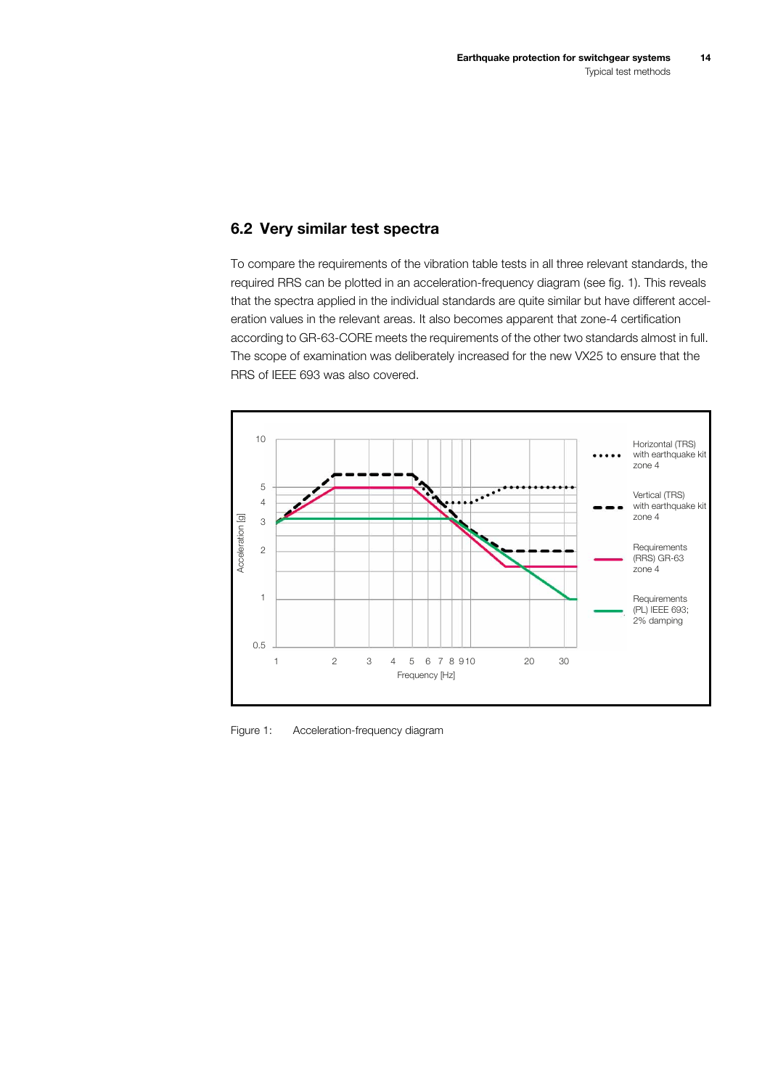#### <span id="page-13-0"></span>**6.2 Very similar test spectra**

To compare the requirements of the vibration table tests in all three relevant standards, the required RRS can be plotted in an acceleration-frequency diagram ([see fig.](#page-13-1) 1). This reveals that the spectra applied in the individual standards are quite similar but have different acceleration values in the relevant areas. It also becomes apparent that zone-4 certification according to GR-63-CORE meets the requirements of the other two standards almost in full. The scope of examination was deliberately increased for the new VX25 to ensure that the RRS of IEEE 693 was also covered.



<span id="page-13-1"></span>Figure 1: Acceleration-frequency diagram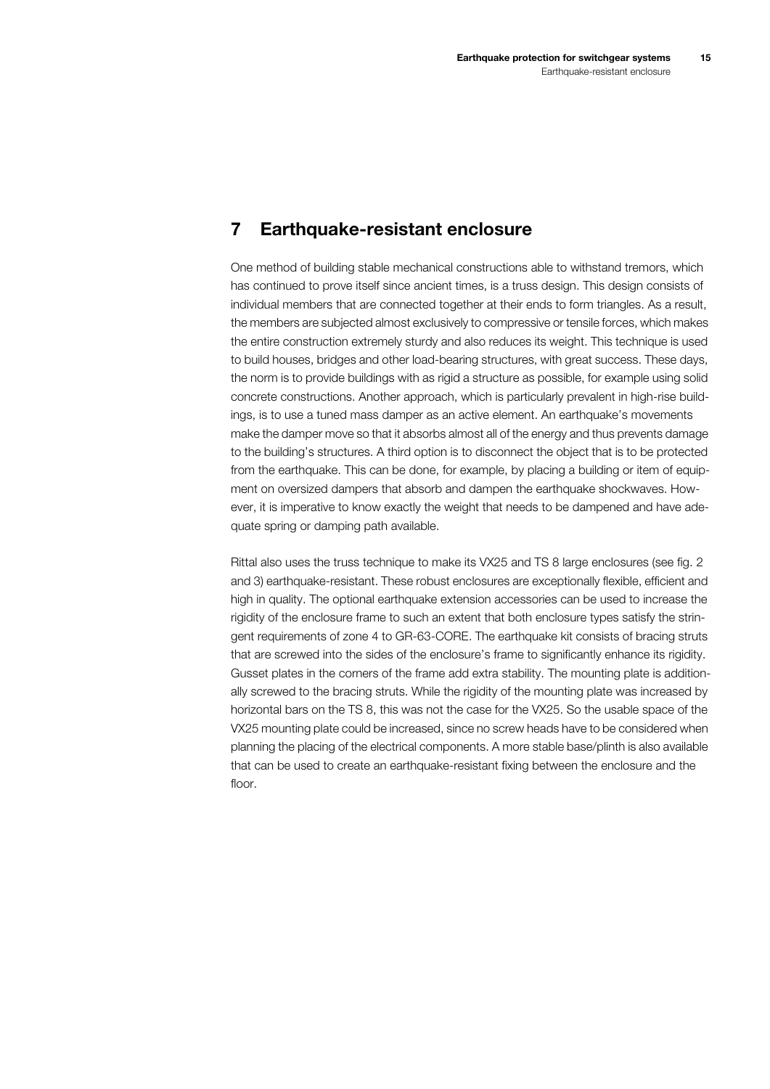### <span id="page-14-0"></span>**7 Earthquake-resistant enclosure**

One method of building stable mechanical constructions able to withstand tremors, which has continued to prove itself since ancient times, is a truss design. This design consists of individual members that are connected together at their ends to form triangles. As a result, the members are subjected almost exclusively to compressive or tensile forces, which makes the entire construction extremely sturdy and also reduces its weight. This technique is used to build houses, bridges and other load-bearing structures, with great success. These days, the norm is to provide buildings with as rigid a structure as possible, for example using solid concrete constructions. Another approach, which is particularly prevalent in high-rise buildings, is to use a tuned mass damper as an active element. An earthquake's movements make the damper move so that it absorbs almost all of the energy and thus prevents damage to the building's structures. A third option is to disconnect the object that is to be protected from the earthquake. This can be done, for example, by placing a building or item of equipment on oversized dampers that absorb and dampen the earthquake shockwaves. However, it is imperative to know exactly the weight that needs to be dampened and have adequate spring or damping path available.

Rittal also uses the truss technique to make its VX25 and TS 8 large enclosures ([see fig.](#page-15-0) 2 and [3\)](#page-15-1) earthquake-resistant. These robust enclosures are exceptionally flexible, efficient and high in quality. The optional earthquake extension accessories can be used to increase the rigidity of the enclosure frame to such an extent that both enclosure types satisfy the stringent requirements of zone 4 to GR-63-CORE. The earthquake kit consists of bracing struts that are screwed into the sides of the enclosure's frame to significantly enhance its rigidity. Gusset plates in the corners of the frame add extra stability. The mounting plate is additionally screwed to the bracing struts. While the rigidity of the mounting plate was increased by horizontal bars on the TS 8, this was not the case for the VX25. So the usable space of the VX25 mounting plate could be increased, since no screw heads have to be considered when planning the placing of the electrical components. A more stable base/plinth is also available that can be used to create an earthquake-resistant fixing between the enclosure and the floor.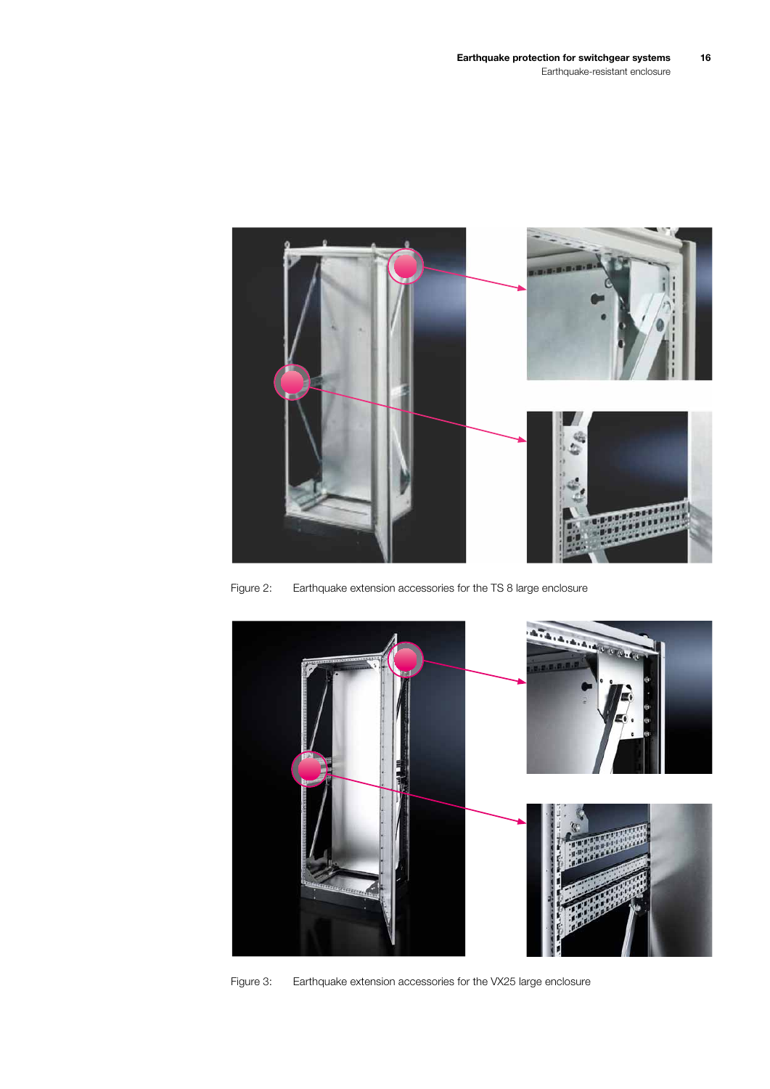

Figure 2: Earthquake extension accessories for the TS 8 large enclosure

<span id="page-15-1"></span><span id="page-15-0"></span>

Figure 3: Earthquake extension accessories for the VX25 large enclosure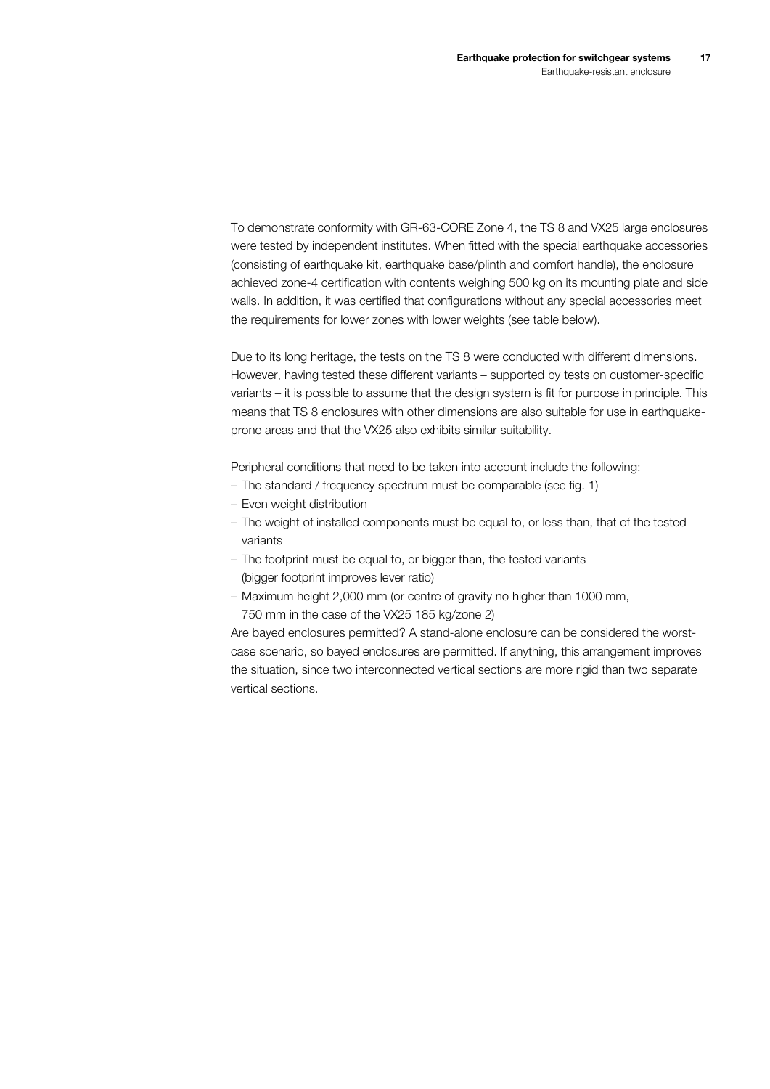To demonstrate conformity with GR-63-CORE Zone 4, the TS 8 and VX25 large enclosures were tested by independent institutes. When fitted with the special earthquake accessories (consisting of earthquake kit, earthquake base/plinth and comfort handle), the enclosure achieved zone-4 certification with contents weighing 500 kg on its mounting plate and side walls. In addition, it was certified that configurations without any special accessories meet the requirements for lower zones with lower weights (see table below).

Due to its long heritage, the tests on the TS 8 were conducted with different dimensions. However, having tested these different variants – supported by tests on customer-specific variants – it is possible to assume that the design system is fit for purpose in principle. This means that TS 8 enclosures with other dimensions are also suitable for use in earthquakeprone areas and that the VX25 also exhibits similar suitability.

Peripheral conditions that need to be taken into account include the following:

- The standard / frequency spectrum must be comparable [\(see fig.](#page-13-1) 1)
- Even weight distribution
- The weight of installed components must be equal to, or less than, that of the tested variants
- The footprint must be equal to, or bigger than, the tested variants (bigger footprint improves lever ratio)
- Maximum height 2,000 mm (or centre of gravity no higher than 1000 mm, 750 mm in the case of the VX25 185 kg/zone 2)

Are bayed enclosures permitted? A stand-alone enclosure can be considered the worstcase scenario, so bayed enclosures are permitted. If anything, this arrangement improves the situation, since two interconnected vertical sections are more rigid than two separate vertical sections.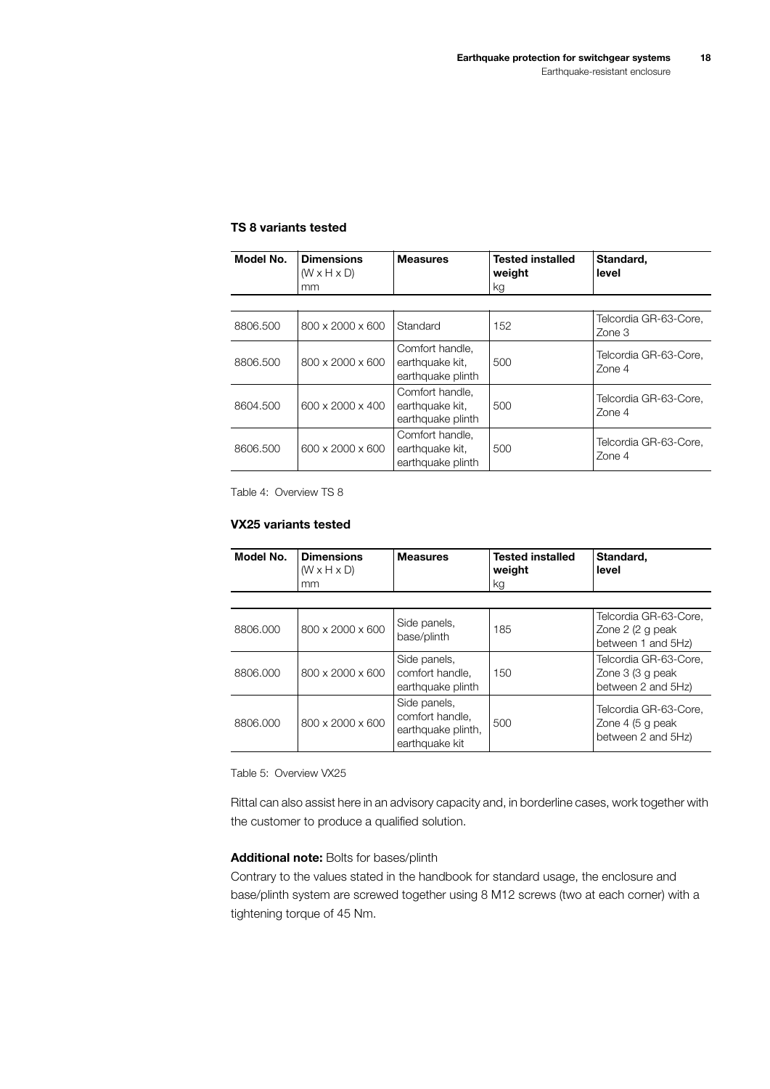#### **TS 8 variants tested**

| Model No. | <b>Dimensions</b><br>$(W \times H \times D)$<br>mm | <b>Measures</b>                                         | <b>Tested installed</b><br>weight<br>kg | Standard.<br>level              |
|-----------|----------------------------------------------------|---------------------------------------------------------|-----------------------------------------|---------------------------------|
|           |                                                    |                                                         |                                         |                                 |
| 8806,500  | 800 x 2000 x 600                                   | Standard                                                | 152                                     | Telcordia GR-63-Core,<br>Zone 3 |
| 8806.500  | 800 x 2000 x 600                                   | Comfort handle.<br>earthquake kit.<br>earthquake plinth | 500                                     | Telcordia GR-63-Core.<br>Zone 4 |
| 8604.500  | 600 x 2000 x 400                                   | Comfort handle.<br>earthquake kit.<br>earthquake plinth | 500                                     | Telcordia GR-63-Core.<br>Zone 4 |
| 8606,500  | 600 x 2000 x 600                                   | Comfort handle,<br>earthquake kit,<br>earthquake plinth | 500                                     | Telcordia GR-63-Core.<br>Zone 4 |

Table 4: Overview TS 8

#### **VX25 variants tested**

| Model No. | <b>Dimensions</b><br>$(W \times H \times D)$<br>mm | <b>Measures</b>                                                         | <b>Tested installed</b><br>weight<br>kg | Standard.<br>level                                               |
|-----------|----------------------------------------------------|-------------------------------------------------------------------------|-----------------------------------------|------------------------------------------------------------------|
|           |                                                    |                                                                         |                                         |                                                                  |
| 8806,000  | 800 x 2000 x 600                                   | Side panels,<br>base/plinth                                             | 185                                     | Telcordia GR-63-Core.<br>Zone 2 (2 g peak<br>between 1 and 5Hz)  |
| 8806,000  | 800 x 2000 x 600                                   | Side panels,<br>comfort handle.<br>earthquake plinth                    | 150                                     | Telcordia GR-63-Core.<br>Zone 3 (3 g peak<br>between 2 and 5Hz)  |
| 8806,000  | 800 x 2000 x 600                                   | Side panels,<br>comfort handle.<br>earthquake plinth,<br>earthquake kit | 500                                     | Telcordia GR-63-Core.<br>Zone 4 (5 g peak)<br>between 2 and 5Hz) |

Table 5: Overview VX25

Rittal can also assist here in an advisory capacity and, in borderline cases, work together with the customer to produce a qualified solution.

#### **Additional note:** Bolts for bases/plinth

Contrary to the values stated in the handbook for standard usage, the enclosure and base/plinth system are screwed together using 8 M12 screws (two at each corner) with a tightening torque of 45 Nm.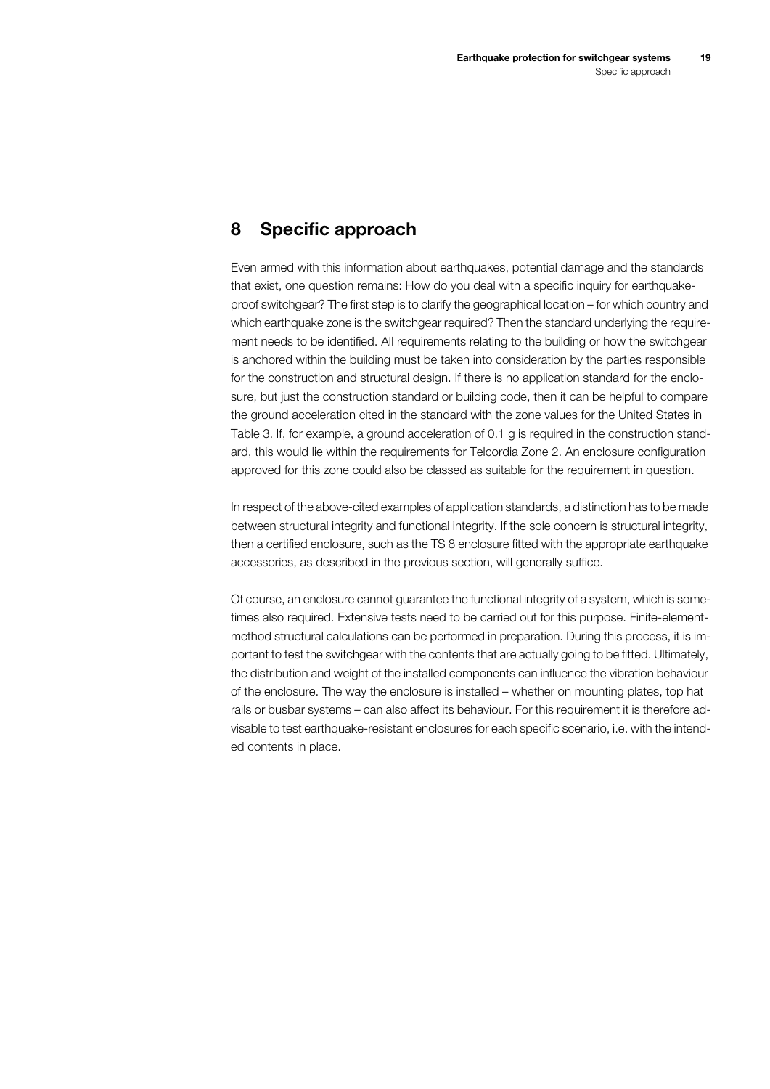## <span id="page-18-0"></span>**8 Specific approach**

Even armed with this information about earthquakes, potential damage and the standards that exist, one question remains: How do you deal with a specific inquiry for earthquakeproof switchgear? The first step is to clarify the geographical location – for which country and which earthquake zone is the switchgear required? Then the standard underlying the requirement needs to be identified. All requirements relating to the building or how the switchgear is anchored within the building must be taken into consideration by the parties responsible for the construction and structural design. If there is no application standard for the enclosure, but just the construction standard or building code, then it can be helpful to compare the ground acceleration cited in the standard with the zone values for the United States in Table [3.](#page-8-0) If, for example, a ground acceleration of 0.1 g is required in the construction standard, this would lie within the requirements for Telcordia Zone 2. An enclosure configuration approved for this zone could also be classed as suitable for the requirement in question.

In respect of the above-cited examples of application standards, a distinction has to be made between structural integrity and functional integrity. If the sole concern is structural integrity, then a certified enclosure, such as the TS 8 enclosure fitted with the appropriate earthquake accessories, as described in the previous section, will generally suffice.

Of course, an enclosure cannot guarantee the functional integrity of a system, which is sometimes also required. Extensive tests need to be carried out for this purpose. Finite-elementmethod structural calculations can be performed in preparation. During this process, it is important to test the switchgear with the contents that are actually going to be fitted. Ultimately, the distribution and weight of the installed components can influence the vibration behaviour of the enclosure. The way the enclosure is installed – whether on mounting plates, top hat rails or busbar systems – can also affect its behaviour. For this requirement it is therefore advisable to test earthquake-resistant enclosures for each specific scenario, i.e. with the intended contents in place.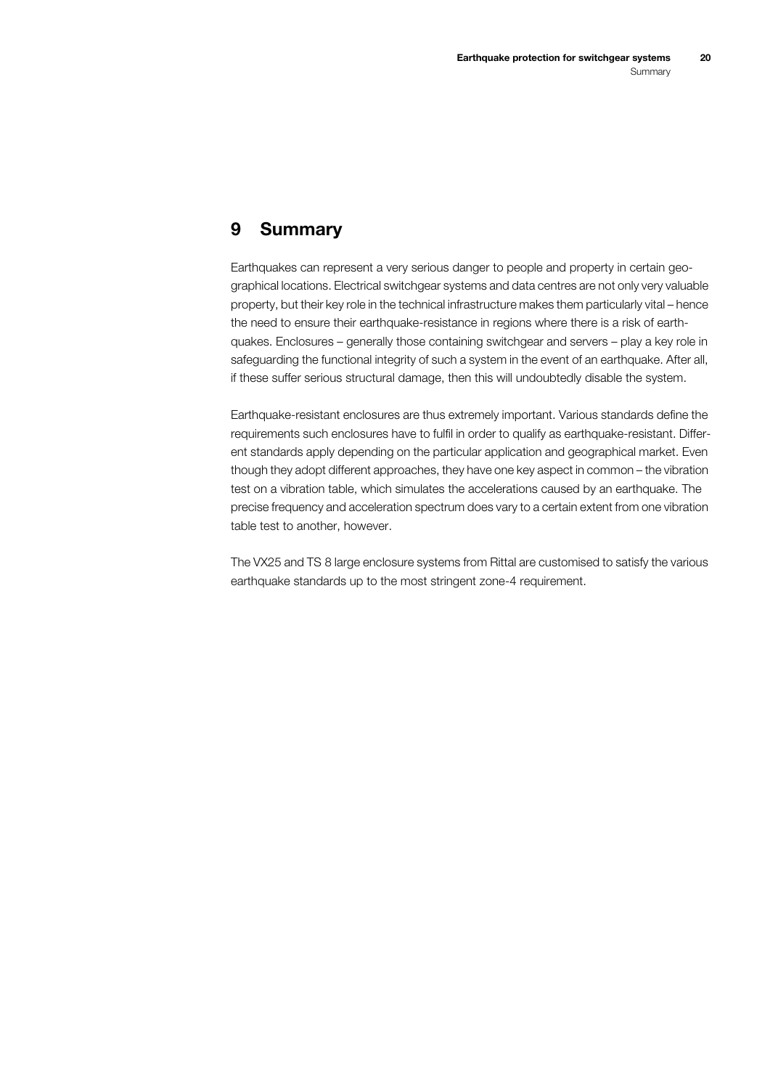## <span id="page-19-0"></span>**9 Summary**

Earthquakes can represent a very serious danger to people and property in certain geographical locations. Electrical switchgear systems and data centres are not only very valuable property, but their key role in the technical infrastructure makes them particularly vital – hence the need to ensure their earthquake-resistance in regions where there is a risk of earthquakes. Enclosures – generally those containing switchgear and servers – play a key role in safeguarding the functional integrity of such a system in the event of an earthquake. After all, if these suffer serious structural damage, then this will undoubtedly disable the system.

Earthquake-resistant enclosures are thus extremely important. Various standards define the requirements such enclosures have to fulfil in order to qualify as earthquake-resistant. Different standards apply depending on the particular application and geographical market. Even though they adopt different approaches, they have one key aspect in common – the vibration test on a vibration table, which simulates the accelerations caused by an earthquake. The precise frequency and acceleration spectrum does vary to a certain extent from one vibration table test to another, however.

The VX25 and TS 8 large enclosure systems from Rittal are customised to satisfy the various earthquake standards up to the most stringent zone-4 requirement.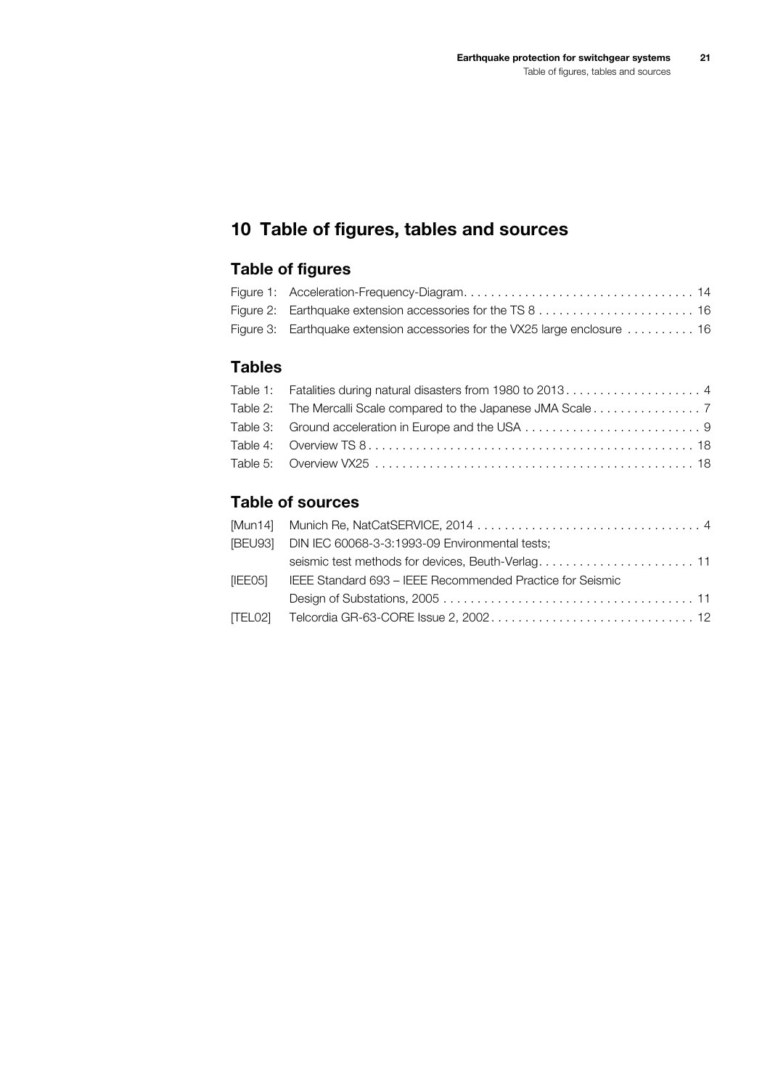## <span id="page-20-0"></span>**10 Table of figures, tables and sources**

## **Table of figures**

| Figure 3: Earthquake extension accessories for the VX25 large enclosure  16 |  |
|-----------------------------------------------------------------------------|--|

## **Tables**

| Table 2: The Mercalli Scale compared to the Japanese JMA Scale 7 |  |
|------------------------------------------------------------------|--|
|                                                                  |  |
|                                                                  |  |
|                                                                  |  |
|                                                                  |  |

#### **Table of sources**

| [BEU93] DIN IEC 60068-3-3:1993-09 Environmental tests;            |
|-------------------------------------------------------------------|
|                                                                   |
| [IEE05] IEEE Standard 693 - IEEE Recommended Practice for Seismic |
|                                                                   |
|                                                                   |